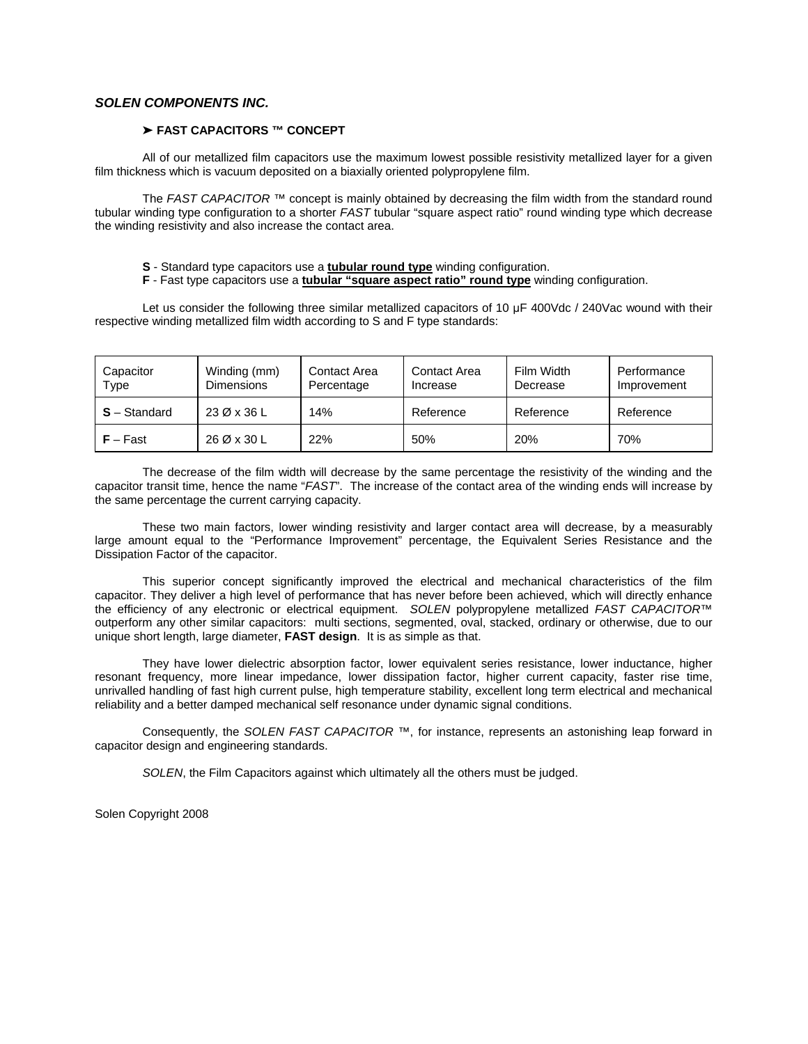## *SOLEN COMPONENTS INC.*

## ' **FAST CAPACITORS ™ CONCEPT**

 All of our metallized film capacitors use the maximum lowest possible resistivity metallized layer for a given film thickness which is vacuum deposited on a biaxially oriented polypropylene film.

 The *FAST CAPACITOR* ™ concept is mainly obtained by decreasing the film width from the standard round tubular winding type configuration to a shorter *FAST* tubular "square aspect ratio" round winding type which decrease the winding resistivity and also increase the contact area.

- **S** Standard type capacitors use a **tubular round type** winding configuration.
- **F** Fast type capacitors use a **tubular "square aspect ratio" round type** winding configuration.

Let us consider the following three similar metallized capacitors of 10  $\mu$ F 400Vdc / 240Vac wound with their respective winding metallized film width according to S and F type standards:

| Capacitor<br>Type | Winding (mm)<br><b>Dimensions</b> | <b>Contact Area</b><br>Percentage | Contact Area<br>Increase | Film Width<br>Decrease | Performance<br>Improvement |  |  |
|-------------------|-----------------------------------|-----------------------------------|--------------------------|------------------------|----------------------------|--|--|
| $S -$ Standard    | 23 Ø x 36 L                       | 14%                               | Reference                | Reference              | Reference                  |  |  |
| $F - Fast$        | 26 Ø x 30 L                       | 22%                               | 50%                      | 20%                    | 70%                        |  |  |

 The decrease of the film width will decrease by the same percentage the resistivity of the winding and the capacitor transit time, hence the name "*FAST*". The increase of the contact area of the winding ends will increase by the same percentage the current carrying capacity.

 These two main factors, lower winding resistivity and larger contact area will decrease, by a measurably large amount equal to the "Performance Improvement" percentage, the Equivalent Series Resistance and the Dissipation Factor of the capacitor.

 This superior concept significantly improved the electrical and mechanical characteristics of the film capacitor. They deliver a high level of performance that has never before been achieved, which will directly enhance the efficiency of any electronic or electrical equipment. *SOLEN* polypropylene metallized *FAST CAPACITOR*™ outperform any other similar capacitors: multi sections, segmented, oval, stacked, ordinary or otherwise, due to our unique short length, large diameter, **FAST design**. It is as simple as that.

 They have lower dielectric absorption factor, lower equivalent series resistance, lower inductance, higher resonant frequency, more linear impedance, lower dissipation factor, higher current capacity, faster rise time, unrivalled handling of fast high current pulse, high temperature stability, excellent long term electrical and mechanical reliability and a better damped mechanical self resonance under dynamic signal conditions.

 Consequently, the *SOLEN FAST CAPACITOR* ™, for instance, represents an astonishing leap forward in capacitor design and engineering standards.

*SOLEN*, the Film Capacitors against which ultimately all the others must be judged.

Solen Copyright 2008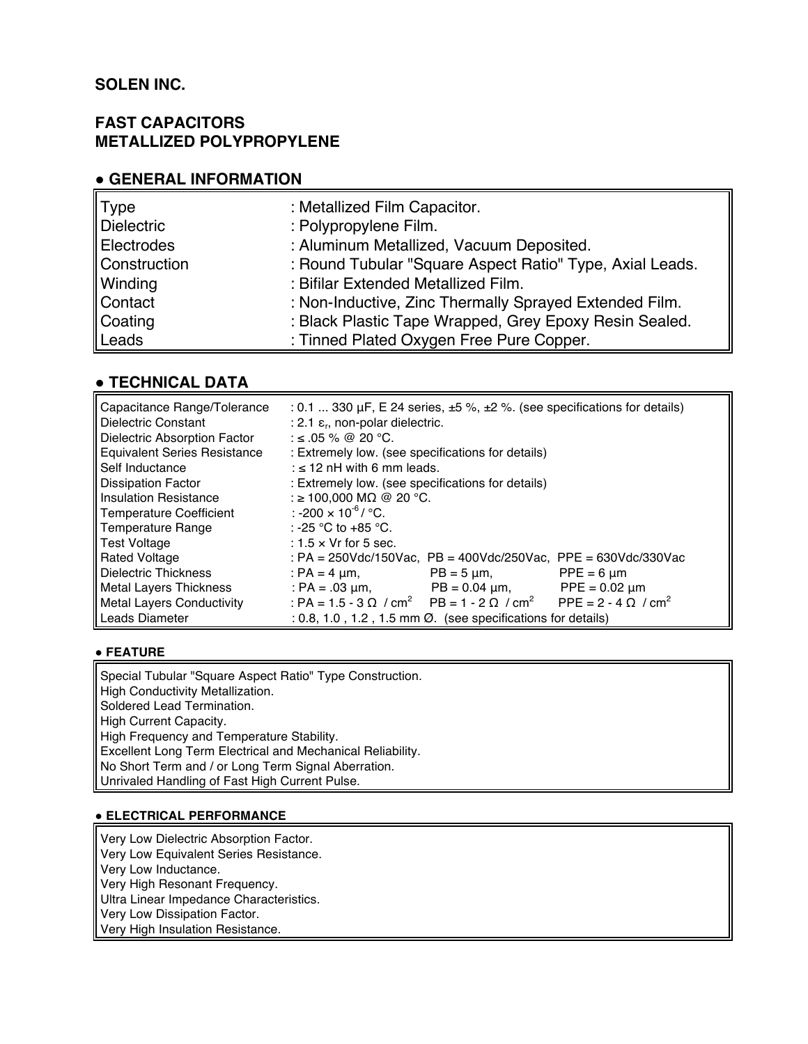# **SOLEN INC.**

# **FAST CAPACITORS METALLIZED POLYPROPYLENE**

# **! GENERAL INFORMATION**

| Type              | : Metallized Film Capacitor.                             |
|-------------------|----------------------------------------------------------|
| <b>Dielectric</b> | : Polypropylene Film.                                    |
| Electrodes        | : Aluminum Metallized, Vacuum Deposited.                 |
| Construction      | : Round Tubular "Square Aspect Ratio" Type, Axial Leads. |
| Winding           | : Bifilar Extended Metallized Film.                      |
| Contact           | : Non-Inductive, Zinc Thermally Sprayed Extended Film.   |
| Coating           | : Black Plastic Tape Wrapped, Grey Epoxy Resin Sealed.   |
| Leads             | : Tinned Plated Oxygen Free Pure Copper.                 |

# **! TECHNICAL DATA**

| Capacitance Range/Tolerance<br>Dielectric Constant                                           | : 0.1  330 $\mu$ F, E 24 series, $\pm$ 5 %, $\pm$ 2 %. (see specifications for details)<br>: 2.1 $\varepsilon$ <sub>r</sub> , non-polar dielectric. |  |  |  |  |  |  |  |
|----------------------------------------------------------------------------------------------|-----------------------------------------------------------------------------------------------------------------------------------------------------|--|--|--|--|--|--|--|
| Dielectric Absorption Factor                                                                 | : ≤ .05 % @ 20 °C.                                                                                                                                  |  |  |  |  |  |  |  |
| <b>Equivalent Series Resistance</b>                                                          | : Extremely low. (see specifications for details)                                                                                                   |  |  |  |  |  |  |  |
| <b>Self Inductance</b>                                                                       | : $\leq$ 12 nH with 6 mm leads.                                                                                                                     |  |  |  |  |  |  |  |
| <b>Dissipation Factor</b>                                                                    | : Extremely low. (see specifications for details)                                                                                                   |  |  |  |  |  |  |  |
| <b>Insulation Resistance</b>                                                                 | : ≥ 100.000 MΩ @ 20 °C.                                                                                                                             |  |  |  |  |  |  |  |
| Temperature Coefficient                                                                      | : -200 $\times$ 10 <sup>-6</sup> / °C.                                                                                                              |  |  |  |  |  |  |  |
| Temperature Range                                                                            | : -25 °C to +85 °C.                                                                                                                                 |  |  |  |  |  |  |  |
| Test Voltage                                                                                 | $: 1.5 \times Vr$ for 5 sec.                                                                                                                        |  |  |  |  |  |  |  |
| <b>Rated Voltage</b>                                                                         | : PA = $250$ Vdc/150Vac, PB = $400$ Vdc/250Vac, PPE = $630$ Vdc/330Vac                                                                              |  |  |  |  |  |  |  |
| Dielectric Thickness                                                                         | : PA = 4 $\mu$ m,<br>$PPE = 6 \mu m$<br>$PB = 5 \mu m$                                                                                              |  |  |  |  |  |  |  |
| Metal Lavers Thickness                                                                       | $PPE = 0.02 \mu m$<br>: PA = $.03 \mu m$ ,<br>$PB = 0.04 \mu m$ ,                                                                                   |  |  |  |  |  |  |  |
| Metal Layers Conductivity                                                                    | : PA = 1.5 - 3 $\Omega$ / cm <sup>2</sup> PB = 1 - 2 $\Omega$ / cm <sup>2</sup> PPE = 2 - 4 $\Omega$ / cm <sup>2</sup>                              |  |  |  |  |  |  |  |
| Leads Diameter<br>$: 0.8, 1.0, 1.2, 1.5$ mm $\varnothing$ . (see specifications for details) |                                                                                                                                                     |  |  |  |  |  |  |  |

# **! FEATURE**

Special Tubular "Square Aspect Ratio" Type Construction. High Conductivity Metallization. Soldered Lead Termination. High Current Capacity. High Frequency and Temperature Stability. Excellent Long Term Electrical and Mechanical Reliability. No Short Term and / or Long Term Signal Aberration. Unrivaled Handling of Fast High Current Pulse.

## **! ELECTRICAL PERFORMANCE**

Very Low Dielectric Absorption Factor. Very Low Equivalent Series Resistance. Very Low Inductance. Very High Resonant Frequency. Ultra Linear Impedance Characteristics. Very Low Dissipation Factor. Very High Insulation Resistance.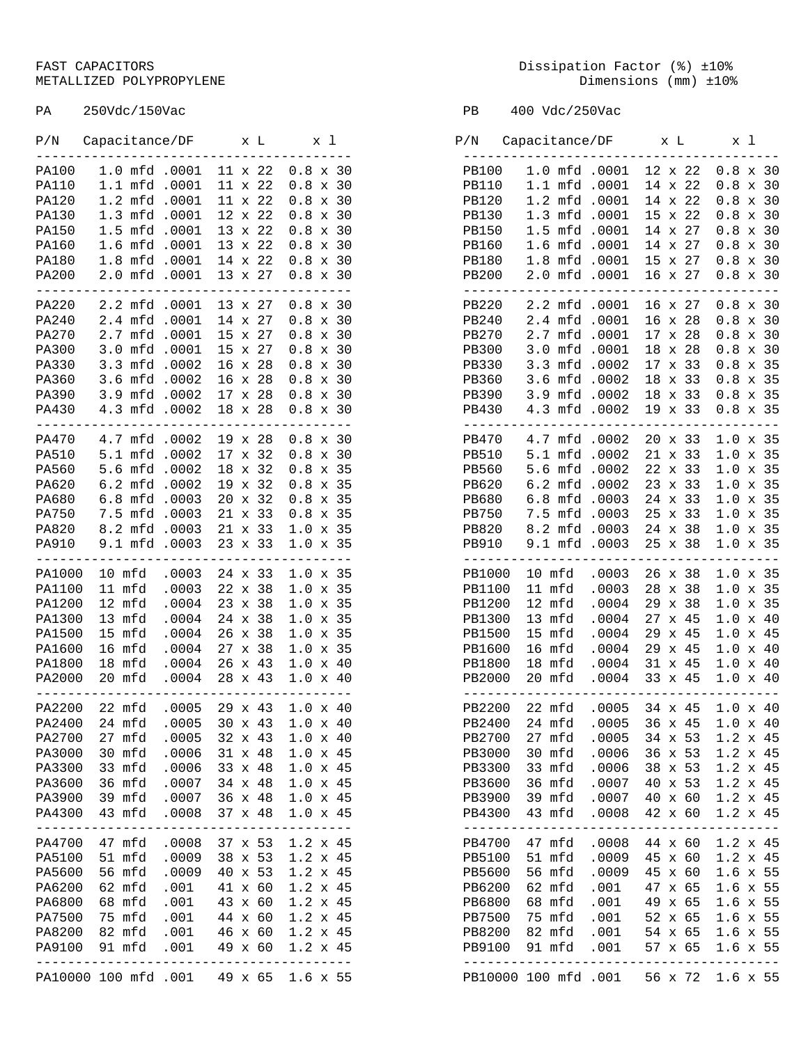# METALLIZED POLYPROPYLENE

PA 250Vdc/150Vac PB 400 Vdc/250Vac

| P/N                                                                                                            | Capacitance/DF                                                                                                          |                                                                      | хL                                                                                                                                                                 | x l                                                                                                                                                            |
|----------------------------------------------------------------------------------------------------------------|-------------------------------------------------------------------------------------------------------------------------|----------------------------------------------------------------------|--------------------------------------------------------------------------------------------------------------------------------------------------------------------|----------------------------------------------------------------------------------------------------------------------------------------------------------------|
| PA100<br><b>PA110</b><br><b>PA120</b><br><b>PA130</b><br>PA150<br>PA160<br>PA180<br><b>PA200</b>               | 1.0<br>mfd<br>1.1<br>mfd<br>1.2<br>mfd<br>1.3<br>mfd<br>1.5<br>mfd<br>1.6<br>mfd<br>1.8<br>mfd<br>2.0<br>mfd            | .0001<br>.0001<br>.0001<br>.0001<br>.0001<br>.0001<br>.0001<br>.0001 | 22<br>11<br>X<br>11<br>22<br>X<br>11<br>22<br>$\bar{x}$<br>12<br>22<br>X<br>13<br>22<br>X<br>13<br>22<br>$\bar{x}$<br>22<br>14<br>X<br>13<br>27<br>X               | 0.8<br>30<br>X<br>0.8<br>30<br>X<br>0.8<br>30<br>X<br>0.8<br>30<br>X<br>30<br>0.8<br>X<br>0.8<br>30<br>X<br>0.8<br>30<br>X<br>0.8<br>30<br>$\bar{x}$           |
| <b>PA220</b><br><b>PA240</b><br><b>PA270</b><br><b>PA300</b><br><b>PA330</b><br>PA360<br>PA390<br><b>PA430</b> | 2.2<br>mfd<br>2.4<br>mfd<br>2.7<br>mfd<br>3.0<br>mfd<br>3.3<br>mfd<br>3.6<br>mfd<br>3.9<br>mfd<br>4.3<br>mfd            | .0001<br>.0001<br>.0001<br>.0001<br>.0002<br>.0002<br>.0002<br>.0002 | 27<br>13<br>X<br>14<br>27<br>X<br>27<br>15<br>X<br>15<br>27<br>X<br>16<br>28<br>X<br>28<br>16<br>X<br>17<br>28<br>X<br>18<br>28<br>X                               | 30<br>0.8<br>Х<br>0.8<br>30<br>X<br>0.8<br>30<br>X<br>30<br>0.8<br>X<br>30<br>0.8<br>X<br>30<br>0.8<br>X<br>30<br>0.8<br>X<br>0.8<br>30<br>X                   |
| PA470<br><b>PA510</b><br>PA560<br>PA620<br><b>PA680</b><br><b>PA750</b><br><b>PA820</b><br>PA910               | 4.7<br>mfd<br>5.1<br>mfd<br>5.6<br>mfd<br>6.2<br>mfd<br>6.8<br>mfd<br>7.5<br>mfd<br>8.2<br>mfd<br>9.1<br>mfd            | .0002<br>.0002<br>.0002<br>.0002<br>.0003<br>.0003<br>.0003<br>.0003 | 19<br>28<br>X<br>17<br>32<br>X<br>18<br>32<br>X<br>19<br>32<br>X<br>20<br>32<br>X<br>21<br>33<br>X<br>21<br>33<br>$\bar{x}$<br>23<br>33<br>X                       | 30<br>0.8<br>х<br>0.8<br>30<br>X<br>0.8<br>35<br>X<br>0.8<br>35<br>X<br>35<br>0.8<br>X<br>0.8<br>35<br>X<br>1.0<br>35<br>$\bar{x}$<br>35<br>1.0<br>X           |
| PA1000<br>PA1100<br>PA1200<br>PA1300<br>PA1500<br>PA1600<br>PA1800<br>PA2000                                   | mfd<br>10<br>11<br>mfd<br>12<br>mfd<br>13<br>mfd<br>15<br>mfd<br>16<br>mfd<br>18<br>mfd<br>20<br>mfd                    | .0003<br>.0003<br>.0004<br>.0004<br>.0004<br>.0004<br>.0004<br>.0004 | 24<br>33<br>X<br>22<br>38<br>X<br>23<br>38<br>X<br>24<br>38<br>X<br>26<br>38<br>X<br>27<br>38<br>X<br>26<br>43<br>X<br>28<br>43<br>X                               | 1.0<br>35<br>Х<br>1.0<br>35<br>X<br>1.0<br>35<br>X<br>1.0<br>35<br>X<br>1.0<br>35<br>X<br>1.0<br>35<br>X<br>1.0<br>40<br>X<br>40<br>1.0<br>X                   |
| PA2200<br>PA2400<br>PA2700<br>PA3000<br>PA3300<br>PA3600<br>PA3900<br>PA4300<br>-----                          | 22<br>mfd<br>24<br>mfd<br>27<br>mfd<br>30<br>mfd<br>33<br>mfd<br>36<br>mfd<br>39<br>mfd<br>mfd<br>43<br>$- - - - - - -$ | .0005<br>.0005<br>.0005<br>.0006<br>.0006<br>.0007<br>.0007<br>.0008 | 29<br>43<br>X<br>30<br>43<br>х<br>32<br>43<br>х<br>31<br>$\mathbf x$<br>48<br>33<br>48<br>X<br>34<br>48<br>$\mathbf x$<br>36<br>48<br>X<br>37<br>$\mathbf x$<br>48 | 1.0<br>40<br>X<br>$1.0\,$<br>40<br>х<br>1.0<br>40<br>х<br>$1.0$<br>45<br>X<br>1.0<br>45<br>X<br>1.0<br>45<br>$\mathbf x$<br>$1.0$<br>45<br>Х<br>1.0<br>45<br>X |
| PA4700<br>PA5100<br>PA5600<br>PA6200<br>PA6800<br>PA7500<br>PA8200<br>PA9100                                   | 47<br>mfd<br>51<br>mfd<br>mfd<br>56<br>62<br>mfd<br>68<br>mfd<br>75<br>mfd<br>82<br>mfd<br>91<br>mfd                    | .0008<br>.0009<br>.0009<br>.001<br>.001<br>.001<br>.001<br>.001      | 37<br>53<br>х<br>38<br>53<br>X<br>40<br>X<br>41<br>60<br>X<br>43<br>60<br>X<br>44<br>60<br>$\mathbf x$<br>46<br>$\mathbf x$<br>60<br>60<br>49<br>$\mathbf x$       | 1.2<br>45<br>х<br>1.2<br>45<br>X<br>1.2<br>53<br>45<br>х<br>1.2<br>45<br>X<br>1.2<br>45<br>X<br>1.2<br>45<br>$\mathbf x$<br>1.2<br>45<br>X<br>1.2<br>45<br>X   |
|                                                                                                                | PA10000 100 mfd .001                                                                                                    |                                                                      | 49 x 65                                                                                                                                                            | $1.6 \times 55$                                                                                                                                                |

FAST CAPACITORS Dissipation Factor (%) ±10%<br>METALLIZED POLYPROPYLENE DISSIPATION Dimensions (mm) ±10%

| $\rm P/N$         | $Capacitance/DF \qquad \qquad x \text{ L}$ |                        |                               |                              | x 1 |              | P/N Capacitance/DF x L                                  |                      |                  |       | x 1                      |  |
|-------------------|--------------------------------------------|------------------------|-------------------------------|------------------------------|-----|--------------|---------------------------------------------------------|----------------------|------------------|-------|--------------------------|--|
| PA100             | 1.0 mfd .0001                              |                        |                               | $11 \times 22$ 0.8 x 30      |     | PB100        | 1.0 mfd .0001 12 x 22                                   |                      |                  |       | $0.8 \times 30$          |  |
| PA110             | 1.1 mfd .0001                              |                        | 11 x 22                       | $0.8 \times 30$              |     | PB110        | 1.1 mfd .0001                                           |                      | 14 x 22          |       | $0.8 \times 30$          |  |
| PA120             | 1.2 mfd .0001                              |                        | 11 x 22                       | $0.8 \times 30$              |     | PB120        | 1.2 mfd .0001                                           |                      | 14 x 22          |       | $0.8 \times 30$          |  |
| PA130             | 1.3 mfd .0001                              |                        | $12 \times 22$                | $0.8 \times 30$              |     | PB130        | 1.3 mfd .0001                                           |                      | $15 \times 22$   |       | $0.8 \times 30$          |  |
| PA150             | 1.5 mfd .0001                              |                        | 13 x 22                       | $0.8 \times 30$              |     | <b>PB150</b> | 1.5 mfd .0001                                           |                      | $14 \times 27$   |       | $0.8 \times 30$          |  |
| PA160             | 1.6 mfd .0001                              |                        | 13 x 22                       | $0.8 \times 30$              |     | PB160        | 1.6 mfd .0001                                           |                      | 14 x 27          |       | $0.8 \times 30$          |  |
| PA180             | 1.8 mfd .0001                              |                        | 14 x 22                       | $0.8 \times 30$              |     | PB180        | 1.8 mfd .0001 15 x 27                                   |                      |                  |       | $0.8 \times 30$          |  |
| PA200             | 2.0 mfd .0001                              |                        |                               | 13 x 27 0.8 x 30             |     | PB200        | 2.0 mfd .0001 16 x 27                                   |                      |                  |       | $0.8 \times 30$          |  |
|                   |                                            |                        |                               |                              |     | -----------  |                                                         |                      |                  |       |                          |  |
| PA220             | 2.2 mfd .0001 13 x 27                      |                        |                               | $0.8 \times 30$              |     | PB220        | 2.2 mfd .0001 16 x 27                                   |                      |                  |       | $0.8 \times 30$          |  |
| PA240             | 2.4 mfd .0001                              |                        | 14 x 27                       | $0.8 \times 30$              |     | PB240        | 2.4 mfd .0001                                           |                      | 16 x 28          |       | $0.8 \times 30$          |  |
| PA270             | 2.7 mfd .0001                              |                        | 15 x 27                       | $0.8 \times 30$              |     | PB270        | 2.7 mfd .0001                                           |                      | $17 \times 28$   |       | $0.8 \times 30$          |  |
| PA300             | 3.0 mfd .0001                              |                        | 15 x 27                       | $0.8 \times 30$              |     | PB300        | 3.0 mfd .0001                                           |                      | 18 x 28          |       | $0.8 \times 30$          |  |
| PA330             | 3.3 mfd .0002                              |                        | 16 x 28                       | $0.8 \times 30$              |     | PB330        | 3.3 mfd .0002                                           |                      | $17 \times 33$   |       | $0.8 \times 35$          |  |
| PA360             | 3.6 mfd .0002                              |                        | 16 x 28                       | $0.8 \times 30$              |     | PB360        | 3.6 mfd .0002                                           |                      | 18 x 33          |       | $0.8 \times 35$          |  |
| PA390             | 3.9 mfd .0002                              |                        | 17 x 28                       | $0.8 \times 30$              |     | PB390        | 3.9 mfd .0002 18 x 33                                   |                      |                  |       | $0.8 \times 35$          |  |
| PA430             | 4.3 mfd .0002                              |                        | 18 x 28                       | $0.8 \times 30$              |     | PB430        | 4.3 mfd .0002 19 x 33                                   |                      |                  |       | $0.8 \times 35$          |  |
| PA470             | --------------<br>4.7 mfd .0002            |                        | ------------------<br>19 x 28 | $0.8 \times 30$              |     | PB470        | --------------------------------------<br>4.7 mfd .0002 |                      | 20 x 33          |       | $1.0 \times 35$          |  |
| PA510             | 5.1 mfd .0002                              |                        | 17 x 32                       | $0.8 \times 30$              |     | PB510        | 5.1 mfd .0002                                           |                      | 21 x 33          |       | $1.0 \times 35$          |  |
| PA560             | 5.6 mfd .0002                              |                        | 18 x 32                       | $0.8 \times 35$              |     | PB560        | 5.6 mfd .0002                                           |                      | 22 x 33          |       | $1.0 \times 35$          |  |
| PA620             | 6.2 mfd .0002                              |                        | 19 x 32                       | $0.8 \times 35$              |     | PB620        | 6.2 mfd .0002                                           |                      | 23 x 33          |       | $1.0 \times 35$          |  |
| PA680             | 6.8 mfd .0003                              |                        | 20 x 32                       | $0.8 \times 35$              |     | PB680        | 6.8 mfd .0003                                           |                      | 24 x 33          |       | $1.0 \times 35$          |  |
| PA750             | 7.5 mfd .0003                              |                        | 21 x 33                       | $0.8 \times 35$              |     | PB750        | 7.5 mfd .0003                                           |                      | 25 x 33          |       | $1.0 \times 35$          |  |
| PA820             | 8.2 mfd .0003                              |                        | $21 \times 33$                | $1.0 \times 35$              |     | PB820        | 8.2 mfd .0003                                           |                      | 24 x 38          |       | $1.0 \times 35$          |  |
| PA910             | 9.1 mfd .0003 23 x 33 1.0 x 35             |                        |                               |                              |     | PB910        | 9.1 mfd .0003 25 x 38 1.0 x 35                          |                      |                  |       |                          |  |
|                   |                                            |                        |                               |                              |     |              |                                                         |                      |                  |       |                          |  |
| PA1000            | 10 mfd                                     | .0003                  | 24 x 33                       | $1.0 \times 35$              |     | PB1000       | 10 mfd                                                  | .0003                | 26 x 38          |       | $1.0 \times 35$          |  |
| PA1100            | 11 mfd                                     | .0003                  | 22 x 38                       | $1.0 \times 35$              |     | PB1100       | 11 mfd                                                  | .0003                | 28 x 38          |       | $1.0 \times 35$          |  |
| PA1200            | 12 mfd                                     | .0004                  | 23 x 38                       | $1.0 \times 35$              |     | PB1200       | 12 mfd                                                  | .0004                | 29 x 38          |       | $1.0 \times 35$          |  |
| PA1300            | 13 mfd                                     | .0004                  | 24 x 38                       | $1.0 \times 35$              |     | PB1300       | 13 mfd                                                  | .0004                | 27 x 45          |       | $1.0 \times 40$          |  |
| PA1500            | 15 mfd                                     | .0004                  | 26 x 38                       | $1.0 \times 35$              |     | PB1500       | 15 mfd                                                  | .0004                | 29 x 45          |       | $1.0 \times 45$          |  |
| PA1600            | 16 mfd                                     | .0004                  | 27 x 38                       | $1.0 \times 35$              |     | PB1600       | 16 mfd                                                  | .0004                | 29 x 45          |       | $1.0 \times 40$          |  |
| PA1800            | 18 mfd                                     | .0004                  | 26 x 43                       | $1.0 \times 40$              |     | PB1800       | 18 mfd                                                  | .0004                | 31 x 45          |       | $1.0 \times 40$          |  |
| PA2000            | 20 mfd                                     | $.0004$ 28 $\times$ 43 |                               | $1.0 \times 40$              |     | PB2000       | 20 mfd                                                  | .0004                | 33 x 45 1.0 x 40 |       |                          |  |
|                   | ----------------------------------         |                        |                               |                              |     | -----------  |                                                         | _______________      |                  |       | ---------                |  |
| PA2200            | 22 mfd .0005 29 x 43 1.0 x 40              |                        |                               |                              |     |              | PB2200 22 mfd .0005 34 x 45 1.0 x 40                    |                      |                  |       |                          |  |
|                   | PA2400 24 mfd .0005 30 x 43 1.0 x 40       |                        |                               |                              |     |              | PB2400 24 mfd .0005 36 x 45 1.0 x 40                    |                      |                  |       |                          |  |
| PA2700            | 27 mfd                                     | .0005                  | 32 x 43                       | $1.0 \times 40$              |     | PB2700       | 27 mfd                                                  | .0005                | $34 \times 53$   |       | $1.2 \times 45$          |  |
| PA3000            | 30 mfd                                     | .0006                  | 31 x 48                       | $1.0 \times 45$              |     | PB3000       | 30 mfd                                                  | .0006                | 36 x 53          |       | $1.2 \times 45$          |  |
| PA3300            | 33 mfd                                     | .0006                  | 33 x 48                       | $1.0 \times 45$              |     | PB3300       | 33 mfd                                                  | .0006                | 38 x 53          |       | $1.2 \times 45$          |  |
| PA3600            | 36 mfd                                     | .0007                  | 34 x 48                       | $1.0 \times 45$              |     | PB3600       | 36 mfd                                                  | .0007                | 40 x 53          |       | $1.2 \times 45$          |  |
| PA3900            | 39 mfd                                     | .0007                  | 36 x 48                       | $1.0 \times 45$              |     | PB3900       | 39 mfd                                                  | .0007                | 40 x 60          |       | $1.2 \times 45$          |  |
| PA4300            | 43 mfd                                     | .0008                  | 37 x 48                       | $1.0 \times 45$              |     | PB4300       | 43 mfd                                                  | .0008                | 42 x 60          |       | $1.2 \times 45$          |  |
| -------<br>PA4700 | $---$<br>47 mfd                            | ----------<br>.0008    | ---------<br>37 x 53          | ---------<br>$1.2 \times 45$ |     | PB4700       | ---------------<br>47 mfd                               | -----------<br>.0008 | 44 x 60          | $---$ | $---$<br>$1.2 \times 45$ |  |
| PA5100            | 51 mfd                                     | .0009                  | 38 x 53                       | $1.2 \times 45$              |     | PB5100       | 51 mfd                                                  | .0009                | 45 x 60          |       | $1.2 \times 45$          |  |
| PA5600            | 56 mfd                                     | .0009                  | 40 x 53                       | $1.2 \times 45$              |     | PB5600       | 56 mfd                                                  | .0009                | 45 x 60          |       | $1.6 \times 55$          |  |
| PA6200            | 62 mfd                                     | .001                   | 41 x 60                       | $1.2 \times 45$              |     | PB6200       | 62 mfd                                                  | .001                 | 47 x 65          |       | $1.6 \times 55$          |  |
| PA6800            | 68 mfd                                     | .001                   | 43 x 60                       | $1.2 \times 45$              |     | PB6800       | 68 mfd                                                  | .001                 | 49 x 65          |       | $1.6 \times 55$          |  |
| PA7500            | 75 mfd                                     | .001                   | 44 x 60                       | $1.2 \times 45$              |     | PB7500       | 75 mfd                                                  | .001                 | 52 x 65          |       | $1.6 \times 55$          |  |
| PA8200            | 82 mfd                                     | .001                   | 46 x 60                       | $1.2 \times 45$              |     | PB8200       | 82 mfd                                                  | .001                 | 54 x 65          |       | 1.6 x 55                 |  |
|                   |                                            | .001                   |                               |                              |     |              |                                                         |                      |                  |       |                          |  |
| PA9100            | 91 mfd                                     |                        | 49 x 60                       | $1.2 \times 45$              |     | PB9100       | 91 mfd                                                  | .001                 | 57 x 65          |       | $1.6 \times 55$          |  |
|                   | PA10000 100 mfd .001                       |                        | 49 x 65 1.6 x 55              |                              |     |              | PB10000 100 mfd .001                                    |                      | 56 x 72 1.6 x 55 |       |                          |  |